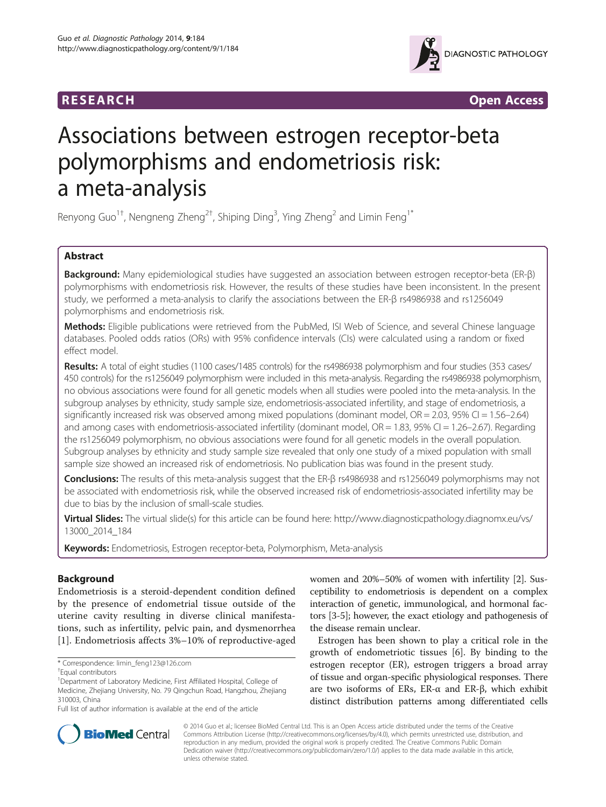



# Associations between estrogen receptor-beta polymorphisms and endometriosis risk: a meta-analysis

Renyong Guo $^{1\dagger}$ , Nengneng Zheng $^{2\dagger}$ , Shiping Ding $^3$ , Ying Zheng $^2$  and Limin Feng $^{1*}$ 

# Abstract

Background: Many epidemiological studies have suggested an association between estrogen receptor-beta (ER-β) polymorphisms with endometriosis risk. However, the results of these studies have been inconsistent. In the present study, we performed a meta-analysis to clarify the associations between the ER-β rs4986938 and rs1256049 polymorphisms and endometriosis risk.

Methods: Eligible publications were retrieved from the PubMed, ISI Web of Science, and several Chinese language databases. Pooled odds ratios (ORs) with 95% confidence intervals (CIs) were calculated using a random or fixed effect model.

Results: A total of eight studies (1100 cases/1485 controls) for the rs4986938 polymorphism and four studies (353 cases/ 450 controls) for the rs1256049 polymorphism were included in this meta-analysis. Regarding the rs4986938 polymorphism, no obvious associations were found for all genetic models when all studies were pooled into the meta-analysis. In the subgroup analyses by ethnicity, study sample size, endometriosis-associated infertility, and stage of endometriosis, a significantly increased risk was observed among mixed populations (dominant model, OR = 2.03, 95% CI = 1.56–2.64) and among cases with endometriosis-associated infertility (dominant model,  $OR = 1.83$ ,  $95\%$  CI = 1.26–2.67). Regarding the rs1256049 polymorphism, no obvious associations were found for all genetic models in the overall population. Subgroup analyses by ethnicity and study sample size revealed that only one study of a mixed population with small sample size showed an increased risk of endometriosis. No publication bias was found in the present study.

Conclusions: The results of this meta-analysis suggest that the ER-β rs4986938 and rs1256049 polymorphisms may not be associated with endometriosis risk, while the observed increased risk of endometriosis-associated infertility may be due to bias by the inclusion of small-scale studies.

Virtual Slides: The virtual slide(s) for this article can be found here: [http://www.diagnosticpathology.diagnomx.eu/vs/](http://www.diagnosticpathology.diagnomx.eu/vs/13000_2014_184) [13000\\_2014\\_184](http://www.diagnosticpathology.diagnomx.eu/vs/13000_2014_184)

Keywords: Endometriosis, Estrogen receptor-beta, Polymorphism, Meta-analysis

# Background

Endometriosis is a steroid-dependent condition defined by the presence of endometrial tissue outside of the uterine cavity resulting in diverse clinical manifestations, such as infertility, pelvic pain, and dysmenorrhea [[1\]](#page-10-0). Endometriosis affects 3%–10% of reproductive-aged women and 20%–50% of women with infertility [\[2](#page-10-0)]. Susceptibility to endometriosis is dependent on a complex interaction of genetic, immunological, and hormonal factors [\[3-5](#page-10-0)]; however, the exact etiology and pathogenesis of the disease remain unclear.

Estrogen has been shown to play a critical role in the growth of endometriotic tissues [\[6](#page-10-0)]. By binding to the estrogen receptor (ER), estrogen triggers a broad array of tissue and organ-specific physiological responses. There are two isoforms of ERs, ER- $\alpha$  and ER- $\beta$ , which exhibit distinct distribution patterns among differentiated cells



© 2014 Guo et al.; licensee BioMed Central Ltd. This is an Open Access article distributed under the terms of the Creative Commons Attribution License [\(http://creativecommons.org/licenses/by/4.0\)](http://creativecommons.org/licenses/by/4.0), which permits unrestricted use, distribution, and reproduction in any medium, provided the original work is properly credited. The Creative Commons Public Domain Dedication waiver [\(http://creativecommons.org/publicdomain/zero/1.0/](http://creativecommons.org/publicdomain/zero/1.0/)) applies to the data made available in this article, unless otherwise stated.

<sup>\*</sup> Correspondence: [limin\\_feng123@126.com](mailto:limin_feng123@126.com) †

<sup>&</sup>lt;sup>+</sup>Equal contributors

<sup>&</sup>lt;sup>1</sup>Department of Laboratory Medicine, First Affiliated Hospital, College of Medicine, Zhejiang University, No. 79 Qingchun Road, Hangzhou, Zhejiang 310003, China

Full list of author information is available at the end of the article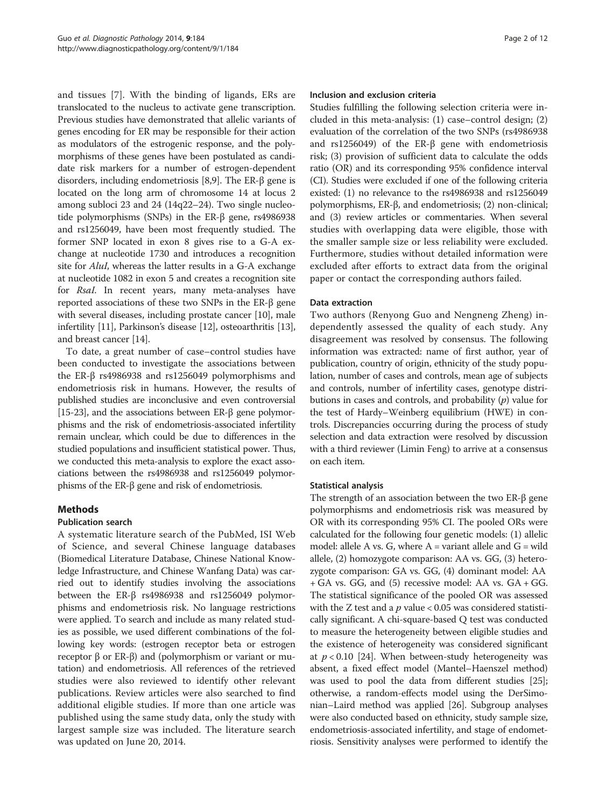and tissues [\[7](#page-10-0)]. With the binding of ligands, ERs are translocated to the nucleus to activate gene transcription. Previous studies have demonstrated that allelic variants of genes encoding for ER may be responsible for their action as modulators of the estrogenic response, and the polymorphisms of these genes have been postulated as candidate risk markers for a number of estrogen-dependent disorders, including endometriosis [\[8,9](#page-10-0)]. The ER-β gene is located on the long arm of chromosome 14 at locus 2 among subloci 23 and 24 (14q22–24). Two single nucleotide polymorphisms (SNPs) in the ER-β gene, rs4986938 and rs1256049, have been most frequently studied. The former SNP located in exon 8 gives rise to a G-A exchange at nucleotide 1730 and introduces a recognition site for AluI, whereas the latter results in a G-A exchange at nucleotide 1082 in exon 5 and creates a recognition site for RsaI. In recent years, many meta-analyses have reported associations of these two SNPs in the ER-β gene with several diseases, including prostate cancer [\[10\]](#page-10-0), male infertility [\[11\]](#page-10-0), Parkinson's disease [\[12\]](#page-10-0), osteoarthritis [[13](#page-10-0)], and breast cancer [[14](#page-10-0)].

To date, a great number of case–control studies have been conducted to investigate the associations between the ER-β rs4986938 and rs1256049 polymorphisms and endometriosis risk in humans. However, the results of published studies are inconclusive and even controversial [[15](#page-10-0)-[23](#page-10-0)], and the associations between ER-β gene polymorphisms and the risk of endometriosis-associated infertility remain unclear, which could be due to differences in the studied populations and insufficient statistical power. Thus, we conducted this meta-analysis to explore the exact associations between the rs4986938 and rs1256049 polymorphisms of the ER-β gene and risk of endometriosis.

## Methods

## Publication search

A systematic literature search of the PubMed, ISI Web of Science, and several Chinese language databases (Biomedical Literature Database, Chinese National Knowledge Infrastructure, and Chinese Wanfang Data) was carried out to identify studies involving the associations between the ER-β rs4986938 and rs1256049 polymorphisms and endometriosis risk. No language restrictions were applied. To search and include as many related studies as possible, we used different combinations of the following key words: (estrogen receptor beta or estrogen receptor β or ER-β) and (polymorphism or variant or mutation) and endometriosis. All references of the retrieved studies were also reviewed to identify other relevant publications. Review articles were also searched to find additional eligible studies. If more than one article was published using the same study data, only the study with largest sample size was included. The literature search was updated on June 20, 2014.

#### Inclusion and exclusion criteria

Studies fulfilling the following selection criteria were included in this meta-analysis: (1) case–control design; (2) evaluation of the correlation of the two SNPs (rs4986938 and rs1256049) of the ER-β gene with endometriosis risk; (3) provision of sufficient data to calculate the odds ratio (OR) and its corresponding 95% confidence interval (CI). Studies were excluded if one of the following criteria existed: (1) no relevance to the rs4986938 and rs1256049 polymorphisms, ER-β, and endometriosis; (2) non-clinical; and (3) review articles or commentaries. When several studies with overlapping data were eligible, those with the smaller sample size or less reliability were excluded. Furthermore, studies without detailed information were excluded after efforts to extract data from the original paper or contact the corresponding authors failed.

#### Data extraction

Two authors (Renyong Guo and Nengneng Zheng) independently assessed the quality of each study. Any disagreement was resolved by consensus. The following information was extracted: name of first author, year of publication, country of origin, ethnicity of the study population, number of cases and controls, mean age of subjects and controls, number of infertility cases, genotype distributions in cases and controls, and probability  $(p)$  value for the test of Hardy–Weinberg equilibrium (HWE) in controls. Discrepancies occurring during the process of study selection and data extraction were resolved by discussion with a third reviewer (Limin Feng) to arrive at a consensus on each item.

#### Statistical analysis

The strength of an association between the two ER-β gene polymorphisms and endometriosis risk was measured by OR with its corresponding 95% CI. The pooled ORs were calculated for the following four genetic models: (1) allelic model: allele A vs. G, where  $A =$  variant allele and  $G =$  wild allele, (2) homozygote comparison: AA vs. GG, (3) heterozygote comparison: GA vs. GG, (4) dominant model: AA + GA vs. GG, and (5) recessive model: AA vs. GA + GG. The statistical significance of the pooled OR was assessed with the Z test and a  $p$  value < 0.05 was considered statistically significant. A chi-square-based Q test was conducted to measure the heterogeneity between eligible studies and the existence of heterogeneity was considered significant at  $p < 0.10$  [[24](#page-10-0)]. When between-study heterogeneity was absent, a fixed effect model (Mantel–Haenszel method) was used to pool the data from different studies [[25](#page-10-0)]; otherwise, a random-effects model using the DerSimonian–Laird method was applied [\[26\]](#page-10-0). Subgroup analyses were also conducted based on ethnicity, study sample size, endometriosis-associated infertility, and stage of endometriosis. Sensitivity analyses were performed to identify the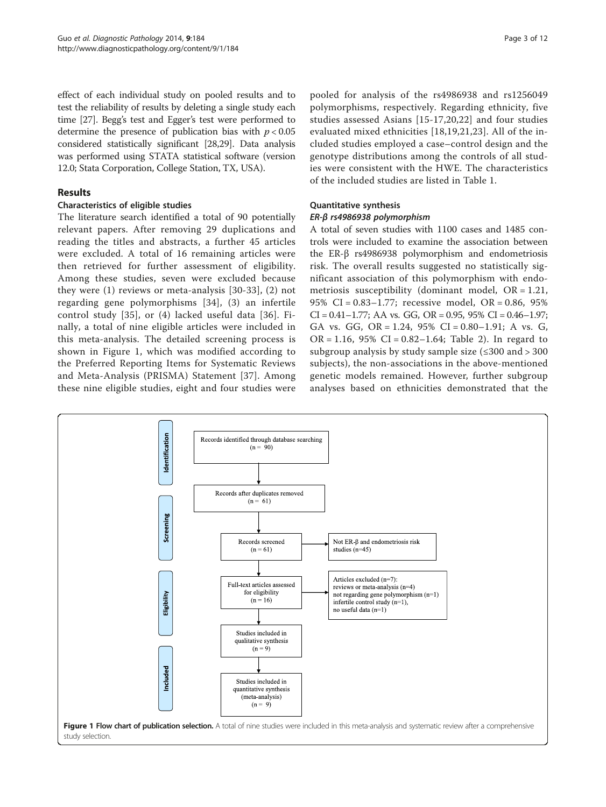effect of each individual study on pooled results and to test the reliability of results by deleting a single study each time [\[27](#page-10-0)]. Begg's test and Egger's test were performed to determine the presence of publication bias with  $p < 0.05$ considered statistically significant [[28](#page-10-0),[29](#page-10-0)]. Data analysis was performed using STATA statistical software (version 12.0; Stata Corporation, College Station, TX, USA).

## Results

## Characteristics of eligible studies

The literature search identified a total of 90 potentially relevant papers. After removing 29 duplications and reading the titles and abstracts, a further 45 articles were excluded. A total of 16 remaining articles were then retrieved for further assessment of eligibility. Among these studies, seven were excluded because they were (1) reviews or meta-analysis [\[30-33](#page-10-0)], (2) not regarding gene polymorphisms [[34\]](#page-10-0), (3) an infertile control study [\[35](#page-10-0)], or (4) lacked useful data [[36](#page-10-0)]. Finally, a total of nine eligible articles were included in this meta-analysis. The detailed screening process is shown in Figure 1, which was modified according to the Preferred Reporting Items for Systematic Reviews and Meta-Analysis (PRISMA) Statement [[37\]](#page-10-0). Among these nine eligible studies, eight and four studies were

pooled for analysis of the rs4986938 and rs1256049 polymorphisms, respectively. Regarding ethnicity, five studies assessed Asians [[15](#page-10-0)-[17](#page-10-0),[20,22](#page-10-0)] and four studies evaluated mixed ethnicities [[18,19,21](#page-10-0),[23\]](#page-10-0). All of the included studies employed a case–control design and the genotype distributions among the controls of all studies were consistent with the HWE. The characteristics of the included studies are listed in Table [1](#page-3-0).

# Quantitative synthesis

# ER-β rs4986938 polymorphism

A total of seven studies with 1100 cases and 1485 controls were included to examine the association between the ER-β rs4986938 polymorphism and endometriosis risk. The overall results suggested no statistically significant association of this polymorphism with endometriosis susceptibility (dominant model, OR = 1.21, 95% CI = 0.83–1.77; recessive model, OR = 0.86, 95%  $CI = 0.41 - 1.77$ ; AA vs. GG, OR = 0.95, 95% CI = 0.46-1.97; GA vs. GG, OR = 1.24, 95% CI = 0.80–1.91; A vs. G,  $OR = 1.16$ , 95%  $CI = 0.82 - 1.64$ ; Table [2](#page-4-0)). In regard to subgroup analysis by study sample size  $(\leq 300 \text{ and } > 300$ subjects), the non-associations in the above-mentioned genetic models remained. However, further subgroup analyses based on ethnicities demonstrated that the

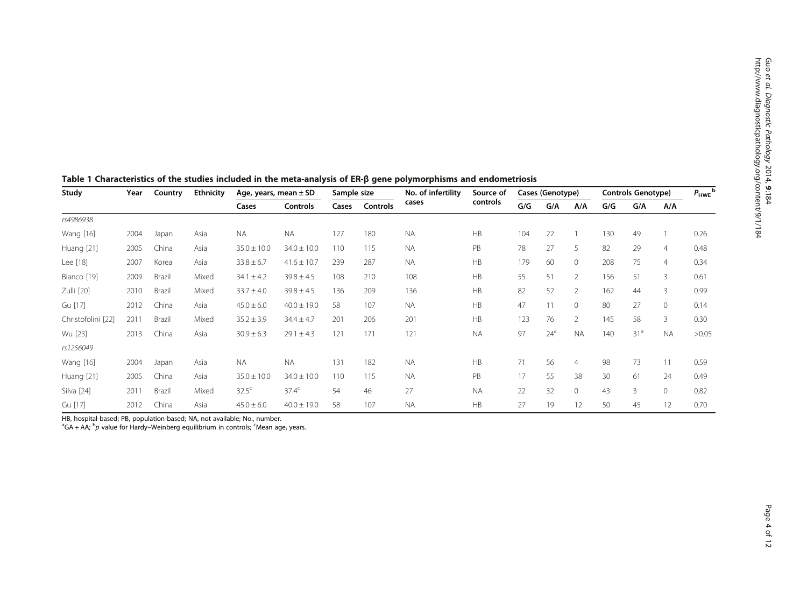e<br>So etal.

| Study              | Year | Country | <b>Ethnicity</b> | Age, years, mean $\pm$ SD |                 | Sample size |          | No. of infertility | Source of | Cases (Genotype) |        |                | <b>Controls Genotype)</b> |                 |                | $P_{HWE}$ <sup>t</sup> |
|--------------------|------|---------|------------------|---------------------------|-----------------|-------------|----------|--------------------|-----------|------------------|--------|----------------|---------------------------|-----------------|----------------|------------------------|
|                    |      |         |                  | Cases                     | Controls        | Cases       | Controls | cases              | controls  | G/G              | G/A    | A/A            | G/G                       | G/A             | A/A            |                        |
| rs4986938          |      |         |                  |                           |                 |             |          |                    |           |                  |        |                |                           |                 |                |                        |
| Wang [16]          | 2004 | Japan   | Asia             | <b>NA</b>                 | <b>NA</b>       | 127         | 180      | <b>NA</b>          | HB        | 104              | 22     |                | 130                       | 49              |                | 0.26                   |
| Huang [21]         | 2005 | China   | Asia             | $35.0 \pm 10.0$           | $34.0 \pm 10.0$ | 110         | 115      | <b>NA</b>          | PB        | 78               | 27     | 5              | 82                        | 29              | $\overline{4}$ | 0.48                   |
| Lee [18]           | 2007 | Korea   | Asia             | $33.8 \pm 6.7$            | $41.6 \pm 10.7$ | 239         | 287      | <b>NA</b>          | <b>HB</b> | 179              | 60     | $\Omega$       | 208                       | 75              | $\overline{4}$ | 0.34                   |
| Bianco [19]        | 2009 | Brazil  | Mixed            | $34.1 \pm 4.2$            | $39.8 \pm 4.5$  | 108         | 210      | 108                | HB        | 55               | 51     | $\overline{2}$ | 156                       | 51              | 3              | 0.61                   |
| Zulli [20]         | 2010 | Brazil  | Mixed            | $33.7 \pm 4.0$            | $39.8 \pm 4.5$  | 136         | 209      | 136                | HB        | 82               | 52     | $\overline{2}$ | 162                       | 44              | 3              | 0.99                   |
| Gu [17]            | 2012 | China   | Asia             | $45.0 \pm 6.0$            | $40.0 \pm 19.0$ | 58          | 107      | <b>NA</b>          | HB        | 47               | 11     | $\Omega$       | 80                        | 27              | $\Omega$       | 0.14                   |
| Christofolini [22] | 2011 | Brazil  | Mixed            | $35.2 \pm 3.9$            | $34.4 \pm 4.7$  | 201         | 206      | 201                | HB        | 123              | 76     | $\overline{2}$ | 145                       | 58              | 3              | 0.30                   |
| Wu [23]            | 2013 | China   | Asia             | $30.9 \pm 6.3$            | $29.1 \pm 4.3$  | 121         | 171      | 121                | <b>NA</b> | 97               | $24^a$ | <b>NA</b>      | 140                       | 31 <sup>a</sup> | <b>NA</b>      | >0.05                  |
| rs1256049          |      |         |                  |                           |                 |             |          |                    |           |                  |        |                |                           |                 |                |                        |
| Wang [16]          | 2004 | Japan   | Asia             | <b>NA</b>                 | <b>NA</b>       | 131         | 182      | <b>NA</b>          | HB        | 71               | 56     | $\overline{4}$ | 98                        | 73              | 11             | 0.59                   |
| Huang [21]         | 2005 | China   | Asia             | $35.0 \pm 10.0$           | $34.0 \pm 10.0$ | 110         | 115      | <b>NA</b>          | PB        | 17               | 55     | 38             | 30                        | 61              | 24             | 0.49                   |
| Silva [24]         | 2011 | Brazil  | Mixed            | $32.5^{\circ}$            | $37.4^{\circ}$  | 54          | 46       | 27                 | <b>NA</b> | 22               | 32     | $\Omega$       | 43                        | $\overline{3}$  | $\Omega$       | 0.82                   |
| Gu [17]            | 2012 | China   | Asia             | $45.0 \pm 6.0$            | $40.0 \pm 19.0$ | 58          | 107      | <b>NA</b>          | HB        | 27               | 19     | 12             | 50                        | 45              | 12             | 0.70                   |

<span id="page-3-0"></span>Table 1 Characteristics of the studies included in the meta-analysis of ER-β gene polymorphisms and endometriosis

HB, hospital-based; PB, population-based; NA, not available; No., number.<br>ªGA + AA; <sup>b</sup>p value for Hardy–Weinberg equilibrium in controls; <sup>c</sup>Mean age, years.<br>.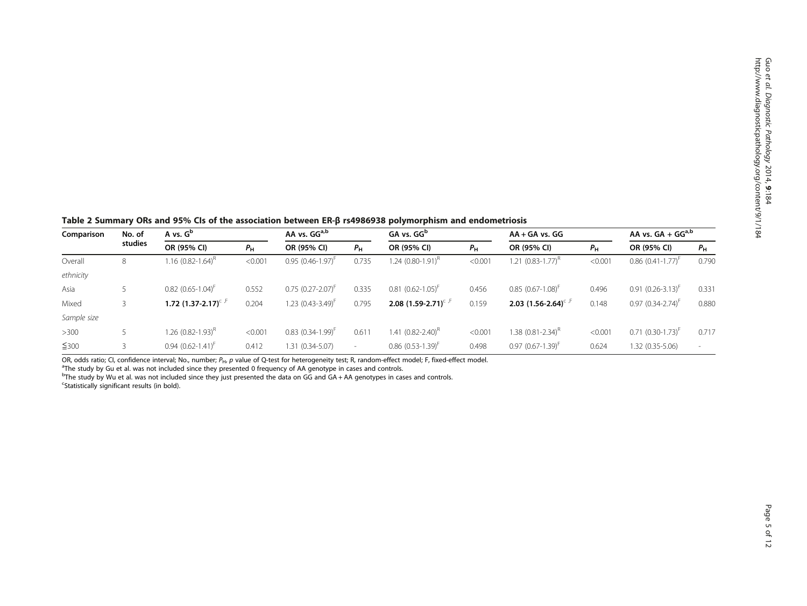<span id="page-4-0"></span>Table 2 Summary ORs and 95% CIs of the association between ER-β rs4986938 polymorphism and endometriosis

| Comparison  | No. of<br>studies | A vs. $G^b$                     |             | AA vs. GG <sup>a,b</sup>        |             | GA vs. GG <sup>b</sup>          |             | $AA + GA$ vs. $GG$       |             | AA vs. $GA + GGa,b$        |             |
|-------------|-------------------|---------------------------------|-------------|---------------------------------|-------------|---------------------------------|-------------|--------------------------|-------------|----------------------------|-------------|
|             |                   | OR (95% CI)                     | $P_{\rm H}$ | OR (95% CI)                     | $P_{\rm H}$ | OR (95% CI)                     | $P_{\rm H}$ | OR (95% CI)              | $P_{\rm H}$ | OR (95% CI)                | $P_{\rm H}$ |
| Overall     | 8                 | 1.16 (0.82-1.64) <sup>R</sup>   | < 0.001     | $0.95(0.46-1.97)^{h}$           | 0.735       | 1.24 (0.80-1.91) <sup>к</sup>   | < 0.001     | 1.21 $(0.83 - 1.77)^{k}$ | < 0.001     | $0.86$ $(0.41 - 1.77)^{t}$ | 0.790       |
| ethnicity   |                   |                                 |             |                                 |             |                                 |             |                          |             |                            |             |
| Asia        |                   | $0.82$ (0.65-1.04) <sup>+</sup> | 0.552       | $0.75$ (0.27-2.07) <sup>+</sup> | 0.335       | $0.81(0.62 - 1.05)^{h}$         | 0.456       | $0.85(0.67 - 1.08)^{+}$  | 0.496       | $0.91 (0.26 - 3.13)^{h}$   | 0.331       |
| Mixed       |                   | 1.72 $(1.37 - 2.17)^{c}$        | 0.204       | $1.23$ (0.43-3.49) <sup>F</sup> | 0.795       | 2.08 $(1.59 - 2.71)^{c}$        | 0.159       | 2.03 $(1.56 - 2.64)^{c}$ | 0.148       | $0.97$ $(0.34 - 2.74)^{+}$ | 0.880       |
| Sample size |                   |                                 |             |                                 |             |                                 |             |                          |             |                            |             |
| $>300$      |                   | 1.26 (0.82-1.93) <sup>R</sup>   | < 0.001     | $0.83$ $(0.34 - 1.99)^{+}$      | 0.611       | 1.41 (0.82-2.40) <sup>R</sup>   | < 0.001     | 1.38 $(0.81 - 2.34)^{H}$ | < 0.001     | $0.71$ $(0.30 - 1.73)^{+}$ | 0.717       |
| ≤300        |                   | $0.94(0.62 - 1.41)^{t}$         | 0.412       | 1.31 (0.34-5.07)                | $\sim$      | $0.86$ (0.53-1.39) <sup>F</sup> | 0.498       | $0.97(0.67 - 1.39)^{+}$  | 0.624       | 1.32 (0.35-5.06)           | $\sim$      |

OR, odds ratio; CI, confidence interval; No., number; P<sub>H</sub>, p value of Q-test for heterogeneity test; R, random-effect model; F, fixed-effect model.

<sup>a</sup>The study by Gu et al. was not included since they presented 0 frequency of AA genotype in cases and controls.

b The study by Wu et al. was not included since they just presented the data on GG and GA + AA genotypes in cases and controls. <sup>c</sup>Statistically significant results (in bold).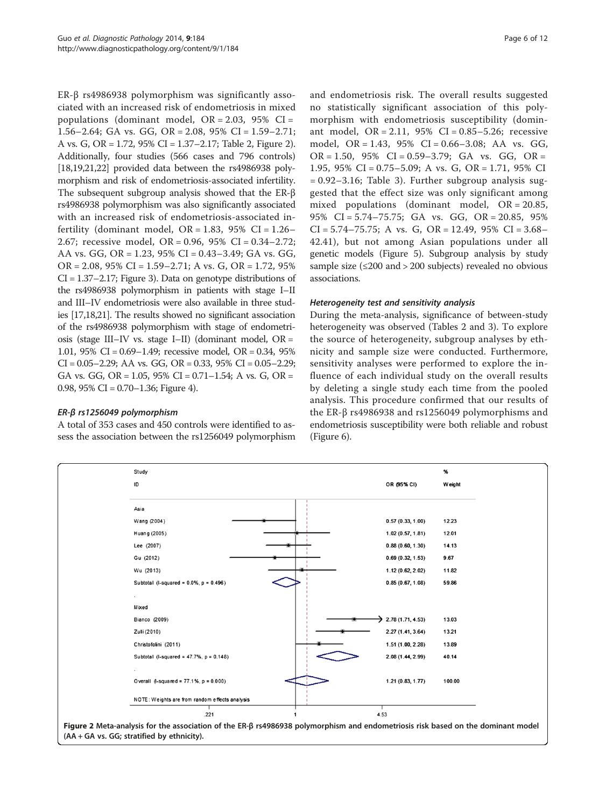ER-β rs4986938 polymorphism was significantly associated with an increased risk of endometriosis in mixed populations (dominant model,  $OR = 2.03$ ,  $95\%$   $CI =$ 1.56–2.64; GA vs. GG, OR = 2.08, 95% CI = 1.59–2.71; A vs. G, OR = 1.72, 95% CI = 1.37–2.17; Table [2](#page-4-0), Figure 2). Additionally, four studies (566 cases and 796 controls)  $[18,19,21,22]$  $[18,19,21,22]$  $[18,19,21,22]$  provided data between the rs4986938 polymorphism and risk of endometriosis-associated infertility. The subsequent subgroup analysis showed that the ER-β rs4986938 polymorphism was also significantly associated with an increased risk of endometriosis-associated infertility (dominant model,  $OR = 1.83$ ,  $95\%$   $CI = 1.26-$ 2.67; recessive model, OR = 0.96, 95% CI = 0.34–2.72; AA vs. GG, OR = 1.23, 95% CI = 0.43–3.49; GA vs. GG,  $OR = 2.08$ , 95% CI = 1.59–2.71; A vs. G, OR = 1.72, 95% CI = 1.37–2.17; Figure [3\)](#page-6-0). Data on genotype distributions of the rs4986938 polymorphism in patients with stage I–II and III–IV endometriosis were also available in three studies [[17,18,21\]](#page-10-0). The results showed no significant association of the rs4986938 polymorphism with stage of endometriosis (stage III–IV vs. stage I–II) (dominant model, OR = 1.01, 95% CI = 0.69–1.49; recessive model, OR = 0.34, 95%  $CI = 0.05 - 2.29$ ; AA vs. GG, OR = 0.33, 95%  $CI = 0.05 - 2.29$ ; GA vs. GG, OR =  $1.05$ , 95% CI =  $0.71-1.54$ ; A vs. G, OR = 0.98, 95% CI =  $0.70-1.36$ ; Figure [4\)](#page-6-0).

## ER-β rs1256049 polymorphism

A total of 353 cases and 450 controls were identified to assess the association between the rs1256049 polymorphism

and endometriosis risk. The overall results suggested no statistically significant association of this polymorphism with endometriosis susceptibility (dominant model,  $OR = 2.11$ ,  $95\%$   $CI = 0.85 - 5.26$ ; recessive model, OR = 1.43, 95% CI = 0.66–3.08; AA vs. GG,  $OR = 1.50$ , 95%  $CI = 0.59 - 3.79$ ; GA vs. GG,  $OR =$ 1.95, 95% CI = 0.75–5.09; A vs. G, OR = 1.71, 95% CI  $= 0.92 - 3.16$  $= 0.92 - 3.16$  $= 0.92 - 3.16$ ; Table 3). Further subgroup analysis suggested that the effect size was only significant among mixed populations (dominant model, OR = 20.85, 95% CI = 5.74–75.75; GA vs. GG, OR = 20.85, 95%  $CI = 5.74 - 75.75$ ; A vs. G,  $OR = 12.49$ ,  $95\%$   $CI = 3.68 -$ 42.41), but not among Asian populations under all genetic models (Figure [5](#page-8-0)). Subgroup analysis by study sample size  $(\leq 200 \text{ and } > 200 \text{ subjects})$  revealed no obvious associations.

## Heterogeneity test and sensitivity analysis

During the meta-analysis, significance of between-study heterogeneity was observed (Tables [2](#page-4-0) and [3\)](#page-7-0). To explore the source of heterogeneity, subgroup analyses by ethnicity and sample size were conducted. Furthermore, sensitivity analyses were performed to explore the influence of each individual study on the overall results by deleting a single study each time from the pooled analysis. This procedure confirmed that our results of the ER-β rs4986938 and rs1256049 polymorphisms and endometriosis susceptibility were both reliable and robust (Figure [6](#page-8-0)).



(AA + GA vs. GG; stratified by ethnicity).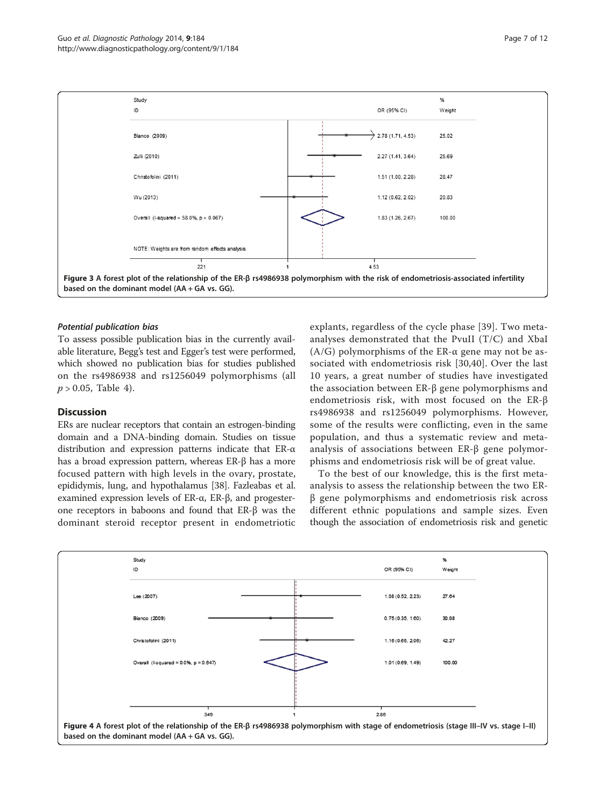<span id="page-6-0"></span>

#### Potential publication bias

To assess possible publication bias in the currently available literature, Begg's test and Egger's test were performed, which showed no publication bias for studies published on the rs4986938 and rs1256049 polymorphisms (all  $p > 0.05$ , Table [4\)](#page-9-0).

# Discussion

ERs are nuclear receptors that contain an estrogen-binding domain and a DNA-binding domain. Studies on tissue distribution and expression patterns indicate that ER-α has a broad expression pattern, whereas ER-β has a more focused pattern with high levels in the ovary, prostate, epididymis, lung, and hypothalamus [[38](#page-10-0)]. Fazleabas et al. examined expression levels of ER-α, ER-β, and progesterone receptors in baboons and found that ER-β was the dominant steroid receptor present in endometriotic

explants, regardless of the cycle phase [\[39](#page-10-0)]. Two metaanalyses demonstrated that the PvuII (T/C) and XbaI (A/G) polymorphisms of the ER- $\alpha$  gene may not be associated with endometriosis risk [[30](#page-10-0)[,40](#page-11-0)]. Over the last 10 years, a great number of studies have investigated the association between ER-β gene polymorphisms and endometriosis risk, with most focused on the ER-β rs4986938 and rs1256049 polymorphisms. However, some of the results were conflicting, even in the same population, and thus a systematic review and metaanalysis of associations between ER-β gene polymorphisms and endometriosis risk will be of great value.

To the best of our knowledge, this is the first metaanalysis to assess the relationship between the two ERβ gene polymorphisms and endometriosis risk across different ethnic populations and sample sizes. Even though the association of endometriosis risk and genetic

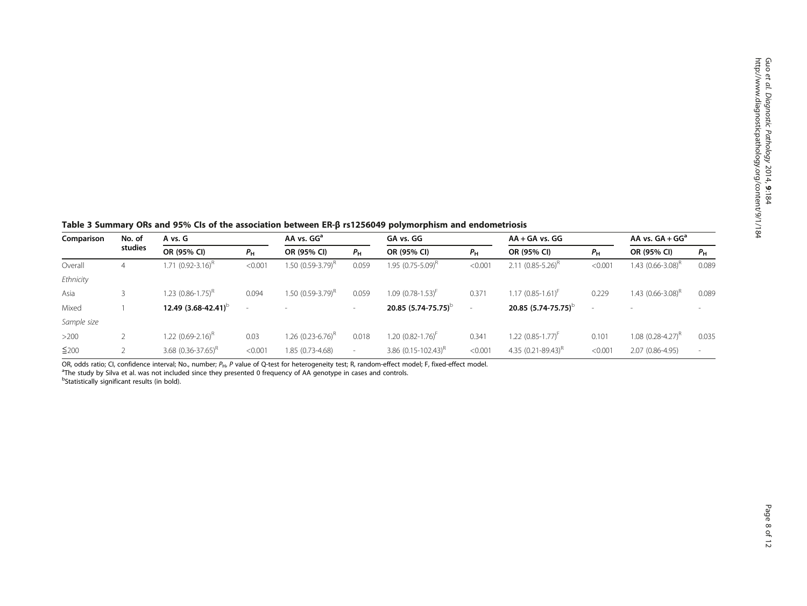<span id="page-7-0"></span>Table 3 Summary ORs and 95% CIs of the association between ER-β rs1256049 polymorphism and endometriosis

| Comparison  | No. of  | A vs. G                       |             | AA vs. GG <sup>a</sup>        |                          | GA vs. GG                     |             | $AA + GA$ vs. $GG$              |             | AA vs. $GA + GG^a$       |             |
|-------------|---------|-------------------------------|-------------|-------------------------------|--------------------------|-------------------------------|-------------|---------------------------------|-------------|--------------------------|-------------|
|             | studies | OR (95% CI)                   | $P_{\rm H}$ | OR (95% CI)                   | $P_{\rm H}$              | OR (95% CI)                   | $P_{\rm H}$ | OR (95% CI)                     | $P_{\rm H}$ | OR (95% CI)              | $P_{\rm H}$ |
| Overall     | 4       | 1.71 (0.92-3.16) <sup>R</sup> | < 0.001     | 1.50 (0.59-3.79) <sup>R</sup> | 0.059                    | 1.95 (0.75-5.09) <sup>R</sup> | < 0.001     | 2.11 $(0.85 - 5.26)^{R}$        | < 0.001     | 1.43 $(0.66 - 3.08)^R$   | 0.089       |
| Ethnicity   |         |                               |             |                               |                          |                               |             |                                 |             |                          |             |
| Asia        |         | 1.23 (0.86-1.75) <sup>R</sup> | 0.094       | $1.50(0.59-3.79)^{k}$         | 0.059                    | $1.09(0.78 - 1.53)^{F}$       | 0.371       | $1.17(0.85 - 1.61)^{t}$         | 0.229       | 1.43 $(0.66 - 3.08)^{H}$ | 0.089       |
| Mixed       |         | 12.49 $(3.68 - 42.41)^{b}$    | $\sim$      |                               | $\sim$                   | 20.85 $(5.74 - 75.75)^{b}$    |             | 20.85 $(5.74 - 75.75)^{b}$      |             |                          |             |
| Sample size |         |                               |             |                               |                          |                               |             |                                 |             |                          |             |
| $>200$      |         | 1.22 (0.69-2.16) <sup>R</sup> | 0.03        | 1.26 (0.23-6.76) <sup>R</sup> | 0.018                    | 1.20 (0.82-1.76) <sup>F</sup> | 0.341       | $1.22$ (0.85-1.77) <sup>F</sup> | 0.101       | 1.08 $(0.28 - 4.27)^R$   | 0.035       |
| ≤200        |         | 3.68 $(0.36 - 37.65)^{R}$     | < 0.001     | 1.85 (0.73-4.68)              | $\overline{\phantom{a}}$ | 3.86 $(0.15 - 102.43)^{R}$    | < 0.001     | 4.35 $(0.21 - 89.43)^{R}$       | < 0.001     | 2.07 (0.86-4.95)         |             |

OR, odds ratio; CI, confidence interval; No., number;  $P_{H}$ , P value of Q-test for heterogeneity test; R, random-effect model; F, fixed-effect model. <sup>a</sup>The study by Silva et al. was not included since they presented 0 frequency of AA genotype in cases and controls. <sup>b</sup>Statistically significant results (in bold).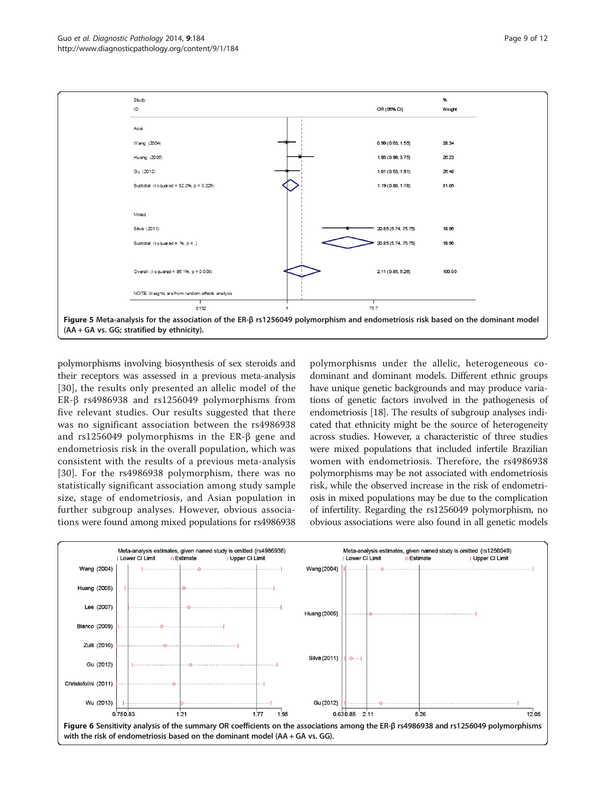<span id="page-8-0"></span>

polymorphisms involving biosynthesis of sex steroids and their receptors was assessed in a previous meta-analysis [[30](#page-10-0)], the results only presented an allelic model of the ER-β rs4986938 and rs1256049 polymorphisms from five relevant studies. Our results suggested that there was no significant association between the rs4986938 and rs1256049 polymorphisms in the ER-β gene and endometriosis risk in the overall population, which was consistent with the results of a previous meta-analysis [[30](#page-10-0)]. For the rs4986938 polymorphism, there was no statistically significant association among study sample size, stage of endometriosis, and Asian population in further subgroup analyses. However, obvious associations were found among mixed populations for rs4986938

polymorphisms under the allelic, heterogeneous codominant and dominant models. Different ethnic groups have unique genetic backgrounds and may produce variations of genetic factors involved in the pathogenesis of endometriosis [\[18\]](#page-10-0). The results of subgroup analyses indicated that ethnicity might be the source of heterogeneity across studies. However, a characteristic of three studies were mixed populations that included infertile Brazilian women with endometriosis. Therefore, the rs4986938 polymorphisms may be not associated with endometriosis risk, while the observed increase in the risk of endometriosis in mixed populations may be due to the complication of infertility. Regarding the rs1256049 polymorphism, no obvious associations were also found in all genetic models

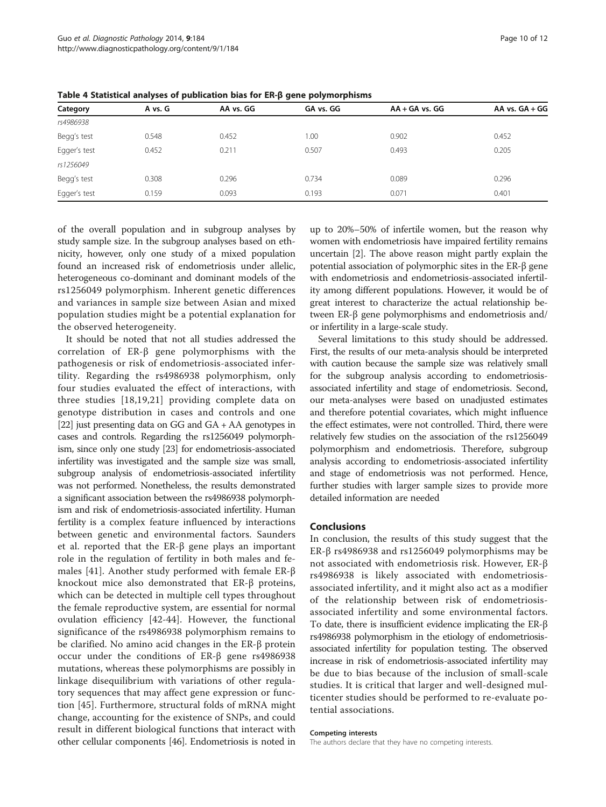| Category     | A vs. G | AA vs. GG | GA vs. GG | $AA + GA$ vs. $GG$ | AA vs. $GA + GG$ |
|--------------|---------|-----------|-----------|--------------------|------------------|
| rs4986938    |         |           |           |                    |                  |
| Begg's test  | 0.548   | 0.452     | 1.00      | 0.902              | 0.452            |
| Egger's test | 0.452   | 0.211     | 0.507     | 0.493              | 0.205            |
| rs1256049    |         |           |           |                    |                  |
| Begg's test  | 0.308   | 0.296     | 0.734     | 0.089              | 0.296            |
| Egger's test | 0.159   | 0.093     | 0.193     | 0.071              | 0.401            |

<span id="page-9-0"></span>Table 4 Statistical analyses of publication bias for ER-β gene polymorphisms

of the overall population and in subgroup analyses by study sample size. In the subgroup analyses based on ethnicity, however, only one study of a mixed population found an increased risk of endometriosis under allelic, heterogeneous co-dominant and dominant models of the rs1256049 polymorphism. Inherent genetic differences and variances in sample size between Asian and mixed population studies might be a potential explanation for the observed heterogeneity.

It should be noted that not all studies addressed the correlation of ER-β gene polymorphisms with the pathogenesis or risk of endometriosis-associated infertility. Regarding the rs4986938 polymorphism, only four studies evaluated the effect of interactions, with three studies [\[18](#page-10-0),[19,21](#page-10-0)] providing complete data on genotype distribution in cases and controls and one [[22](#page-10-0)] just presenting data on GG and GA + AA genotypes in cases and controls. Regarding the rs1256049 polymorphism, since only one study [[23](#page-10-0)] for endometriosis-associated infertility was investigated and the sample size was small, subgroup analysis of endometriosis-associated infertility was not performed. Nonetheless, the results demonstrated a significant association between the rs4986938 polymorphism and risk of endometriosis-associated infertility. Human fertility is a complex feature influenced by interactions between genetic and environmental factors. Saunders et al. reported that the ER-β gene plays an important role in the regulation of fertility in both males and females [\[41](#page-11-0)]. Another study performed with female ER-β knockout mice also demonstrated that ER-β proteins, which can be detected in multiple cell types throughout the female reproductive system, are essential for normal ovulation efficiency [[42-44](#page-11-0)]. However, the functional significance of the rs4986938 polymorphism remains to be clarified. No amino acid changes in the ER-β protein occur under the conditions of ER-β gene rs4986938 mutations, whereas these polymorphisms are possibly in linkage disequilibrium with variations of other regulatory sequences that may affect gene expression or function [[45\]](#page-11-0). Furthermore, structural folds of mRNA might change, accounting for the existence of SNPs, and could result in different biological functions that interact with other cellular components [\[46\]](#page-11-0). Endometriosis is noted in

up to 20%–50% of infertile women, but the reason why women with endometriosis have impaired fertility remains uncertain [\[2](#page-10-0)]. The above reason might partly explain the potential association of polymorphic sites in the ER-β gene with endometriosis and endometriosis-associated infertility among different populations. However, it would be of great interest to characterize the actual relationship between ER-β gene polymorphisms and endometriosis and/ or infertility in a large-scale study.

Several limitations to this study should be addressed. First, the results of our meta-analysis should be interpreted with caution because the sample size was relatively small for the subgroup analysis according to endometriosisassociated infertility and stage of endometriosis. Second, our meta-analyses were based on unadjusted estimates and therefore potential covariates, which might influence the effect estimates, were not controlled. Third, there were relatively few studies on the association of the rs1256049 polymorphism and endometriosis. Therefore, subgroup analysis according to endometriosis-associated infertility and stage of endometriosis was not performed. Hence, further studies with larger sample sizes to provide more detailed information are needed

## Conclusions

In conclusion, the results of this study suggest that the ER-β rs4986938 and rs1256049 polymorphisms may be not associated with endometriosis risk. However, ER-β rs4986938 is likely associated with endometriosisassociated infertility, and it might also act as a modifier of the relationship between risk of endometriosisassociated infertility and some environmental factors. To date, there is insufficient evidence implicating the ER-β rs4986938 polymorphism in the etiology of endometriosisassociated infertility for population testing. The observed increase in risk of endometriosis-associated infertility may be due to bias because of the inclusion of small-scale studies. It is critical that larger and well-designed multicenter studies should be performed to re-evaluate potential associations.

#### Competing interests

The authors declare that they have no competing interests.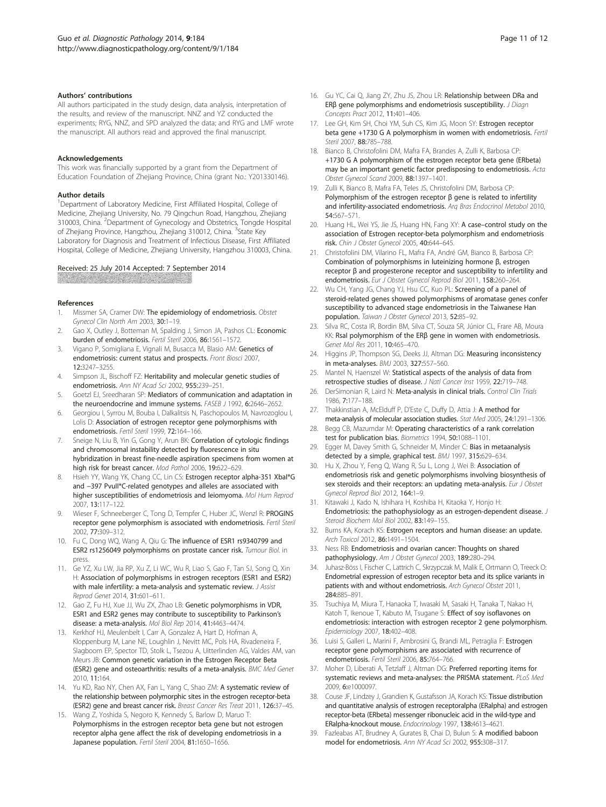#### <span id="page-10-0"></span>Authors' contributions

All authors participated in the study design, data analysis, interpretation of the results, and review of the manuscript. NNZ and YZ conducted the experiments; RYG, NNZ, and SPD analyzed the data; and RYG and LMF wrote the manuscript. All authors read and approved the final manuscript.

#### Acknowledgements

This work was financially supported by a grant from the Department of Education Foundation of Zhejiang Province, China (grant No.: Y201330146).

#### Author details

<sup>1</sup>Department of Laboratory Medicine, First Affiliated Hospital, College of Medicine, Zhejiang University, No. 79 Qingchun Road, Hangzhou, Zhejiang 310003, China. <sup>2</sup>Department of Gynecology and Obstetrics, Tongde Hospital of Zhejiang Province, Hangzhou, Zhejiang 310012, China. <sup>3</sup>State Key Laboratory for Diagnosis and Treatment of Infectious Disease, First Affiliated Hospital, College of Medicine, Zhejiang University, Hangzhou 310003, China.

#### Received: 25 July 2014 Accepted: 7 September 2014

#### References

- 1. Missmer SA, Cramer DW: The epidemiology of endometriosis. Obstet Gynecol Clin North Am 2003, 30:1–19.
- 2. Gao X, Outley J, Botteman M, Spalding J, Simon JA, Pashos CL: Economic burden of endometriosis. Fertil Steril 2006, 86:1561–1572.
- 3. Vigano P, Somigliana E, Vignali M, Busacca M, Blasio AM: Genetics of endometriosis: current status and prospects. Front Biosci 2007, 12:3247–3255.
- 4. Simpson JL, Bischoff FZ: Heritability and molecular genetic studies of endometriosis. Ann NY Acad Sci 2002, 955:239–251.
- 5. Goetzl EJ, Sreedharan SP: Mediators of communication and adaptation in the neuroendocrine and immune systems. FASEB J 1992, 6:2646-2652.
- 6. Georgiou I, Syrrou M, Bouba I, Dalkalitsis N, Paschopoulos M, Navrozoglou I, Lolis D: Association of estrogen receptor gene polymorphisms with endometriosis. Fertil Steril 1999, 72:164–166.
- Sneige N, Liu B, Yin G, Gong Y, Arun BK: Correlation of cytologic findings and chromosomal instability detected by fluorescence in situ hybridization in breast fine-needle aspiration specimens from women at high risk for breast cancer. Mod Pathol 2006, 19:622–629.
- 8. Hsieh YY, Wang YK, Chang CC, Lin CS: Estrogen receptor alpha-351 Xbal\*G and −397 PvuII\*C-related genotypes and alleles are associated with higher susceptibilities of endometriosis and leiomyoma. Mol Hum Reprod 2007, 13:117–122.
- Wieser F, Schneeberger C, Tong D, Tempfer C, Huber JC, Wenzl R: PROGINS receptor gene polymorphism is associated with endometriosis. Fertil Steril 2002, 77:309–312.
- 10. Fu C, Dong WQ, Wang A, Qiu G: The influence of ESR1 rs9340799 and ESR2 rs1256049 polymorphisms on prostate cancer risk. Tumour Biol. in press.
- 11. Ge YZ, Xu LW, Jia RP, Xu Z, Li WC, Wu R, Liao S, Gao F, Tan SJ, Song Q, Xin H: Association of polymorphisms in estrogen receptors (ESR1 and ESR2) with male infertility: a meta-analysis and systematic review. J Assist Reprod Genet 2014, 31:601–611.
- 12. Gao Z, Fu HJ, Xue JJ, Wu ZX, Zhao LB: Genetic polymorphisms in VDR, ESR1 and ESR2 genes may contribute to susceptibility to Parkinson's disease: a meta-analysis. Mol Biol Rep 2014, 41:4463–4474.
- 13. Kerkhof HJ, Meulenbelt I, Carr A, Gonzalez A, Hart D, Hofman A, Kloppenburg M, Lane NE, Loughlin J, Nevitt MC, Pols HA, Rivadeneira F, Slagboom EP, Spector TD, Stolk L, Tsezou A, Uitterlinden AG, Valdes AM, van Meurs JB: Common genetic variation in the Estrogen Receptor Beta (ESR2) gene and osteoarthritis: results of a meta-analysis. BMC Med Genet 2010, 11:164.
- 14. Yu KD, Rao NY, Chen AX, Fan L, Yang C, Shao ZM: A systematic review of the relationship between polymorphic sites in the estrogen receptor-beta (ESR2) gene and breast cancer risk. Breast Cancer Res Treat 2011, 126:37–45.
- 15. Wang Z, Yoshida S, Negoro K, Kennedy S, Barlow D, Maruo T: Polymorphisms in the estrogen receptor beta gene but not estrogen receptor alpha gene affect the risk of developing endometriosis in a Japanese population. Fertil Steril 2004, 81:1650-1656.
- 16. Gu YC, Cai Q, Jiang ZY, Zhu JS, Zhou LR: Relationship between DRa and ERβ gene polymorphisms and endometriosis susceptibility. J Diagn Concepts Pract 2012, 11:401–406.
- 17. Lee GH, Kim SH, Choi YM, Suh CS, Kim JG, Moon SY: Estrogen receptor beta gene +1730 G A polymorphism in women with endometriosis. Fertil Steril 2007 88:785-788.
- 18. Bianco B, Christofolini DM, Mafra FA, Brandes A, Zulli K, Barbosa CP: +1730 G A polymorphism of the estrogen receptor beta gene (ERbeta) may be an important genetic factor predisposing to endometriosis. Acta Obstet Gynecol Scand 2009, 88:1397–1401.
- 19. Zulli K, Bianco B, Mafra FA, Teles JS, Christofolini DM, Barbosa CP: Polymorphism of the estrogen receptor β gene is related to infertility and infertility-associated endometriosis. Arq Bras Endocrinol Metabol 2010, 54:567–571.
- 20. Huang HL, Wei YS, Jie JS, Huang HN, Fang XY: A case-control study on the association of Estrogen receptor-beta polymorphism and endometriosis risk. Chin J Obstet Gynecol 2005, 40:644–645.
- 21. Christofolini DM, Vilarino FL, Mafra FA, André GM, Bianco B, Barbosa CP: Combination of polymorphisms in luteinizing hormone β, estrogen receptor β and progesterone receptor and susceptibility to infertility and endometriosis. Eur J Obstet Gynecol Reprod Biol 2011, 158:260–264.
- 22. Wu CH, Yang JG, Chang YJ, Hsu CC, Kuo PL: Screening of a panel of steroid-related genes showed polymorphisms of aromatase genes confer susceptibility to advanced stage endometriosis in the Taiwanese Han population. Taiwan J Obstet Gynecol 2013, 52:85-92.
- 23. Silva RC, Costa IR, Bordin BM, Silva CT, Souza SR, Júnior CL, Frare AB, Moura KK: RsaI polymorphism of the ERβ gene in women with endometriosis. Genet Mol Res 2011, 10:465–470.
- 24. Higgins JP, Thompson SG, Deeks JJ, Altman DG: Measuring inconsistency in meta-analyses. BMJ 2003, 327:557–560.
- 25. Mantel N, Haenszel W: Statistical aspects of the analysis of data from retrospective studies of disease. J Natl Cancer Inst 1959, 22:719–748.
- 26. DerSimonian R, Laird N: Meta-analysis in clinical trials. Control Clin Trials 1986, 7:177–188.
- 27. Thakkinstian A, McElduff P, D'Este C, Duffy D, Attia J: A method for meta-analysis of molecular association studies. Stat Med 2005, 24:1291–1306.
- 28. Begg CB, Mazumdar M: Operating characteristics of a rank correlation test for publication bias. Biometrics 1994, 50:1088–1101.
- 29. Egger M, Davey Smith G, Schneider M, Minder C: Bias in metaanalysis detected by a simple, graphical test. BMJ 1997, 315:629–634.
- 30. Hu X, Zhou Y, Feng Q, Wang R, Su L, Long J, Wei B: Association of endometriosis risk and genetic polymorphisms involving biosynthesis of sex steroids and their receptors: an updating meta-analysis. Eur J Obstet Gynecol Reprod Biol 2012, 164:1–9.
- 31. Kitawaki J, Kado N, Ishihara H, Koshiba H, Kitaoka Y, Honjo H: Endometriosis: the pathophysiology as an estrogen-dependent disease. J Steroid Biochem Mol Biol 2002, 83:149–155.
- 32. Burns KA, Korach KS: Estrogen receptors and human disease: an update. Arch Toxicol 2012, 86:1491–1504.
- 33. Ness RB: Endometriosis and ovarian cancer: Thoughts on shared pathophysiology. Am J Obstet Gynecol 2003, 189:280–294.
- 34. Juhasz-Böss I, Fischer C, Lattrich C, Skrzypczak M, Malik E, Ortmann O, Treeck O: Endometrial expression of estrogen receptor beta and its splice variants in patients with and without endometriosis. Arch Gynecol Obstet 2011, 284:885–891.
- 35. Tsuchiya M, Miura T, Hanaoka T, Iwasaki M, Sasaki H, Tanaka T, Nakao H, Katoh T, Ikenoue T, Kabuto M, Tsugane S: Effect of soy isoflavones on endometriosis: interaction with estrogen receptor 2 gene polymorphism. Epidemiology 2007, 18:402–408.
- 36. Luisi S, Galleri L, Marini F, Ambrosini G, Brandi ML, Petraglia F: Estrogen receptor gene polymorphisms are associated with recurrence of endometriosis. Fertil Steril 2006, 85:764–766.
- 37. Moher D, Liberati A, Tetzlaff J, Altman DG: Preferred reporting items for systematic reviews and meta-analyses: the PRISMA statement. PLoS Med 2009, 6:e1000097.
- 38. Couse JF, Lindzey J, Grandien K, Gustafsson JA, Korach KS: Tissue distribution and quantitative analysis of estrogen receptoralpha (ERalpha) and estrogen receptor-beta (ERbeta) messenger ribonucleic acid in the wild-type and ERalpha-knockout mouse. Endocrinology 1997, 138:4613–4621.
- 39. Fazleabas AT, Brudney A, Gurates B, Chai D, Bulun S: A modified baboon model for endometriosis. Ann NY Acad Sci 2002, 955:308–317.